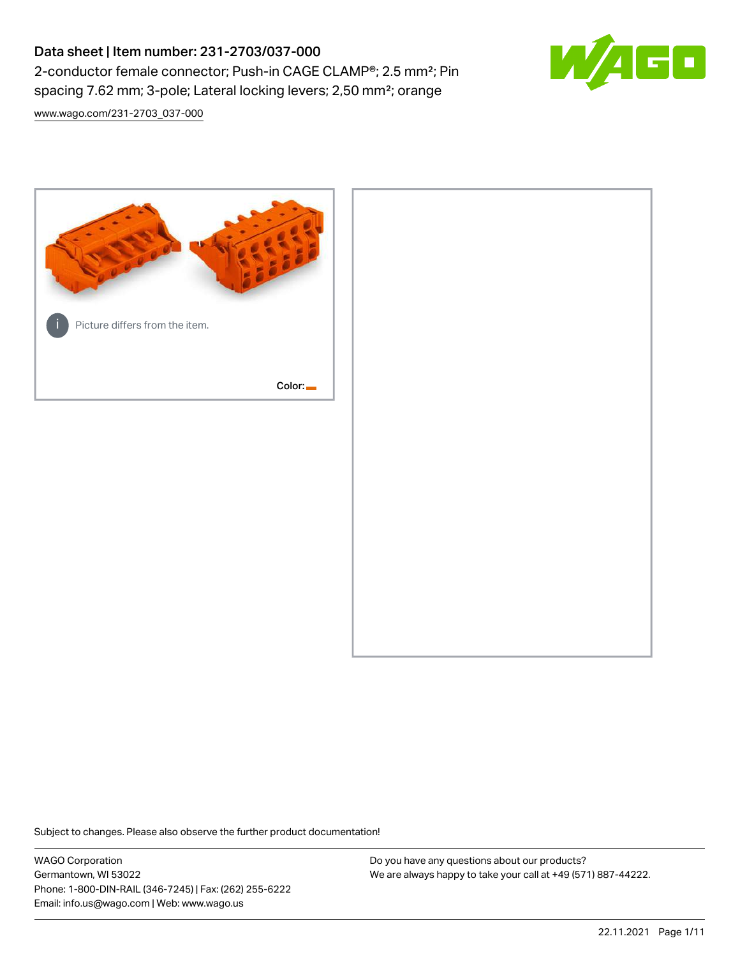# Data sheet | Item number: 231-2703/037-000 2-conductor female connector; Push-in CAGE CLAMP®; 2.5 mm²; Pin spacing 7.62 mm; 3-pole; Lateral locking levers; 2,50 mm²; orange



[www.wago.com/231-2703\\_037-000](http://www.wago.com/231-2703_037-000)



Subject to changes. Please also observe the further product documentation!

WAGO Corporation Germantown, WI 53022 Phone: 1-800-DIN-RAIL (346-7245) | Fax: (262) 255-6222 Email: info.us@wago.com | Web: www.wago.us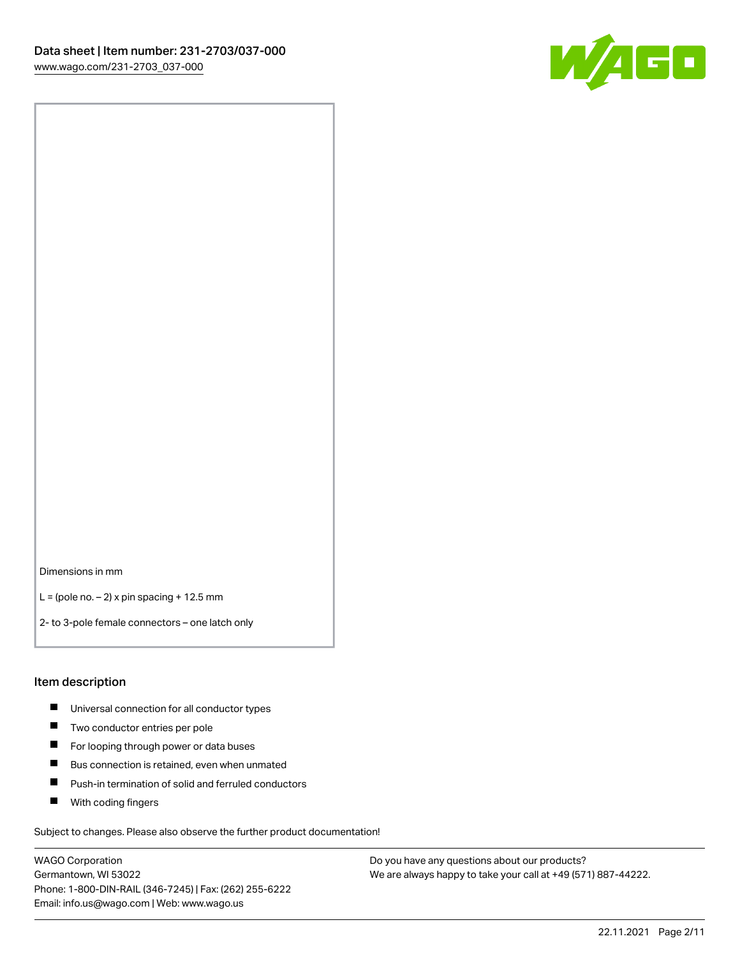

Dimensions in mm

 $L =$  (pole no.  $-2$ ) x pin spacing + 12.5 mm

2- to 3-pole female connectors – one latch only

#### Item description

- **Universal connection for all conductor types**
- **Two conductor entries per pole**
- $\blacksquare$ For looping through power or data buses
- $\blacksquare$ Bus connection is retained, even when unmated
- $\blacksquare$ Push-in termination of solid and ferruled conductors
- $\blacksquare$ With coding fingers

Subject to changes. Please also observe the further product documentation!

WAGO Corporation Germantown, WI 53022 Phone: 1-800-DIN-RAIL (346-7245) | Fax: (262) 255-6222 Email: info.us@wago.com | Web: www.wago.us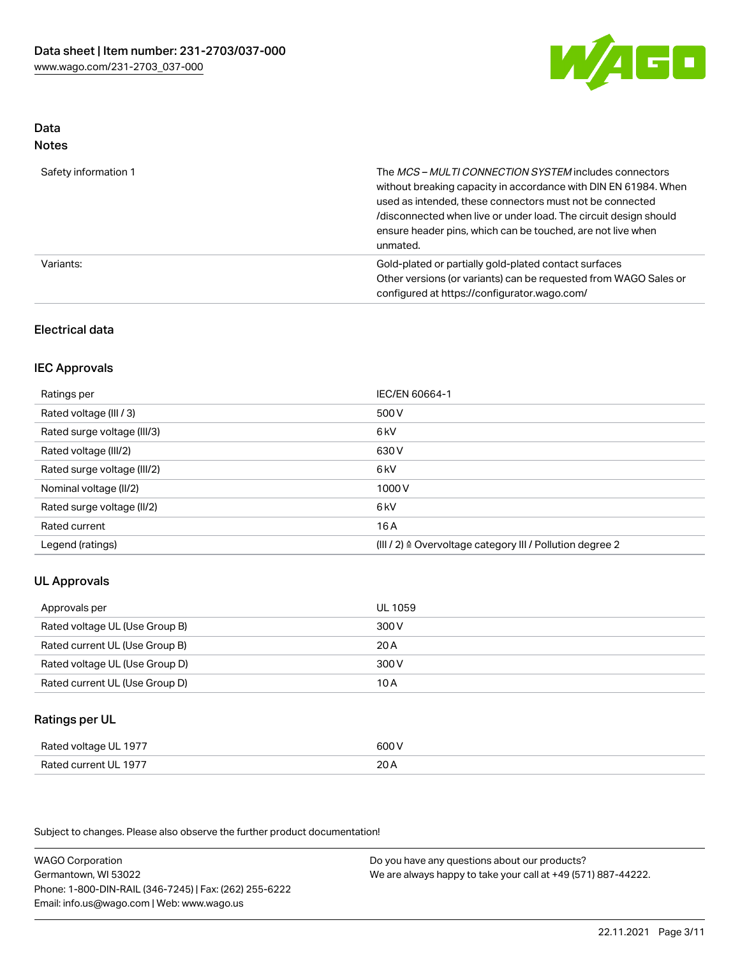

#### Data Notes

| .                    |                                                                                                                                                                                                                                                                                                                                   |
|----------------------|-----------------------------------------------------------------------------------------------------------------------------------------------------------------------------------------------------------------------------------------------------------------------------------------------------------------------------------|
| Safety information 1 | The MCS-MULTI CONNECTION SYSTEM includes connectors<br>without breaking capacity in accordance with DIN EN 61984. When<br>used as intended, these connectors must not be connected<br>/disconnected when live or under load. The circuit design should<br>ensure header pins, which can be touched, are not live when<br>unmated. |
| Variants:            | Gold-plated or partially gold-plated contact surfaces<br>Other versions (or variants) can be requested from WAGO Sales or<br>configured at https://configurator.wago.com/                                                                                                                                                         |

### Electrical data

#### IEC Approvals

| Ratings per                 | IEC/EN 60664-1                                                        |
|-----------------------------|-----------------------------------------------------------------------|
| Rated voltage (III / 3)     | 500 V                                                                 |
| Rated surge voltage (III/3) | 6 <sub>k</sub> V                                                      |
| Rated voltage (III/2)       | 630 V                                                                 |
| Rated surge voltage (III/2) | 6 <sub>k</sub> V                                                      |
| Nominal voltage (II/2)      | 1000 V                                                                |
| Rated surge voltage (II/2)  | 6 kV                                                                  |
| Rated current               | 16 A                                                                  |
| Legend (ratings)            | $(III / 2)$ $\triangle$ Overvoltage category III / Pollution degree 2 |

### UL Approvals

| Approvals per                  | UL 1059 |
|--------------------------------|---------|
| Rated voltage UL (Use Group B) | 300 V   |
| Rated current UL (Use Group B) | 20 A    |
| Rated voltage UL (Use Group D) | 300 V   |
| Rated current UL (Use Group D) | 10 A    |

#### Ratings per UL

| Rated voltage UL 1977 | 600 V |
|-----------------------|-------|
| Rated current UL 1977 | 20A   |

Subject to changes. Please also observe the further product documentation!

WAGO Corporation Germantown, WI 53022 Phone: 1-800-DIN-RAIL (346-7245) | Fax: (262) 255-6222 Email: info.us@wago.com | Web: www.wago.us Do you have any questions about our products? We are always happy to take your call at +49 (571) 887-44222.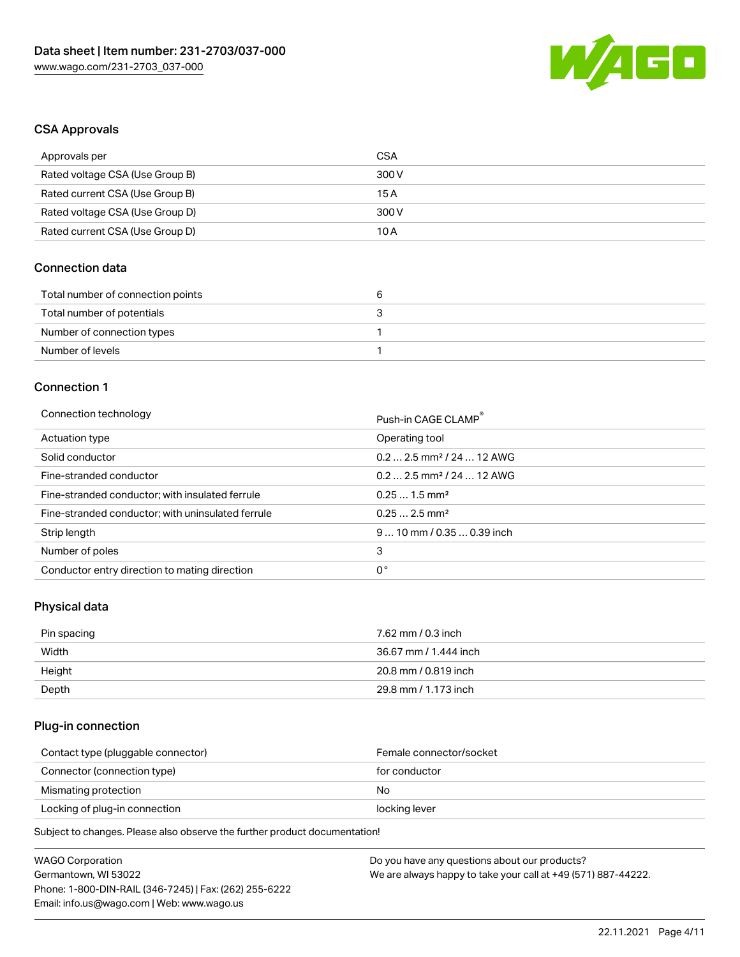

#### CSA Approvals

| Approvals per                   | CSA   |
|---------------------------------|-------|
| Rated voltage CSA (Use Group B) | 300 V |
| Rated current CSA (Use Group B) | 15 A  |
| Rated voltage CSA (Use Group D) | 300 V |
| Rated current CSA (Use Group D) | 10 A  |

### Connection data

| Total number of connection points |  |
|-----------------------------------|--|
| Total number of potentials        |  |
| Number of connection types        |  |
| Number of levels                  |  |

### Connection 1

#### Connection technology **Push-in CAGE CLAMP<sup>®</sup>**

| ັ                                                 | Push-in CAGE CLAMP                    |
|---------------------------------------------------|---------------------------------------|
| Actuation type                                    | Operating tool                        |
| Solid conductor                                   | $0.22.5$ mm <sup>2</sup> / 24  12 AWG |
| Fine-stranded conductor                           | $0.22.5$ mm <sup>2</sup> / 24  12 AWG |
| Fine-stranded conductor; with insulated ferrule   | $0.251.5$ mm <sup>2</sup>             |
| Fine-stranded conductor; with uninsulated ferrule | $0.252.5$ mm <sup>2</sup>             |
| Strip length                                      | $910$ mm / 0.35  0.39 inch            |
| Number of poles                                   | 3                                     |
| Conductor entry direction to mating direction     | 0°                                    |

# Physical data

| Pin spacing | 7.62 mm / 0.3 inch    |
|-------------|-----------------------|
| Width       | 36.67 mm / 1.444 inch |
| Height      | 20.8 mm / 0.819 inch  |
| Depth       | 29.8 mm / 1.173 inch  |

#### Plug-in connection

| Contact type (pluggable connector) | Female connector/socket |
|------------------------------------|-------------------------|
| Connector (connection type)        | for conductor           |
| Mismating protection               | No                      |
| Locking of plug-in connection      | locking lever           |
|                                    |                         |

Subject to changes. Please also observe the further product documentation!

| <b>WAGO Corporation</b>                                | Do you have any questions about our products?                 |
|--------------------------------------------------------|---------------------------------------------------------------|
| Germantown, WI 53022                                   | We are always happy to take your call at +49 (571) 887-44222. |
| Phone: 1-800-DIN-RAIL (346-7245)   Fax: (262) 255-6222 |                                                               |
| Email: info.us@wago.com   Web: www.wago.us             |                                                               |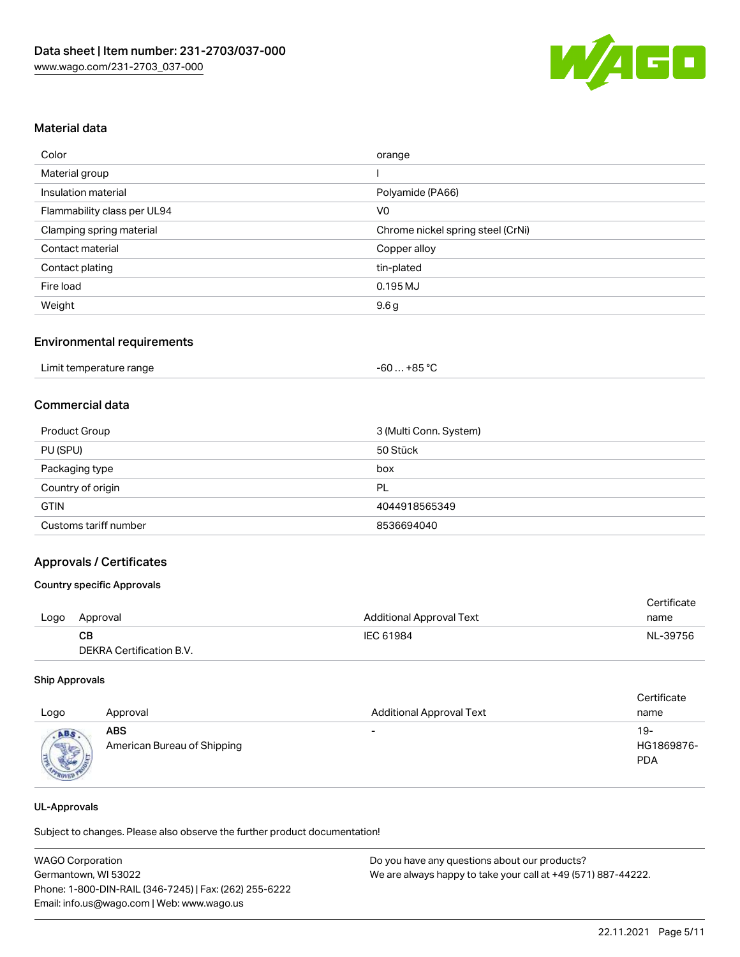

### Material data

| Color                       | orange                            |
|-----------------------------|-----------------------------------|
| Material group              |                                   |
| Insulation material         | Polyamide (PA66)                  |
| Flammability class per UL94 | V <sub>0</sub>                    |
| Clamping spring material    | Chrome nickel spring steel (CrNi) |
| Contact material            | Copper alloy                      |
| Contact plating             | tin-plated                        |
| Fire load                   | 0.195 MJ                          |
| Weight                      | 9.6 <sub>g</sub>                  |

#### Environmental requirements

### Commercial data

| <b>Product Group</b>  | 3 (Multi Conn. System) |
|-----------------------|------------------------|
| PU (SPU)              | 50 Stück               |
| Packaging type        | box                    |
| Country of origin     | PL                     |
| <b>GTIN</b>           | 4044918565349          |
| Customs tariff number | 8536694040             |

#### Approvals / Certificates

#### Country specific Approvals

|      |                          |                                 | Certificate |
|------|--------------------------|---------------------------------|-------------|
| Logo | Approval                 | <b>Additional Approval Text</b> | name        |
|      | CB.                      | IEC 61984                       | NL-39756    |
|      | DEKRA Certification B.V. |                                 |             |

#### Ship Approvals

| Logo | Approval                                  | <b>Additional Approval Text</b> | Certificate<br>name             |
|------|-------------------------------------------|---------------------------------|---------------------------------|
| ABS  | <b>ABS</b><br>American Bureau of Shipping | $\overline{\phantom{a}}$        | 19-<br>HG1869876-<br><b>PDA</b> |

#### UL-Approvals

Subject to changes. Please also observe the further product documentation!

| <b>WAGO Corporation</b>                                | Do you have any questions about our products?                 |
|--------------------------------------------------------|---------------------------------------------------------------|
| Germantown, WI 53022                                   | We are always happy to take your call at +49 (571) 887-44222. |
| Phone: 1-800-DIN-RAIL (346-7245)   Fax: (262) 255-6222 |                                                               |
| Email: info.us@wago.com   Web: www.wago.us             |                                                               |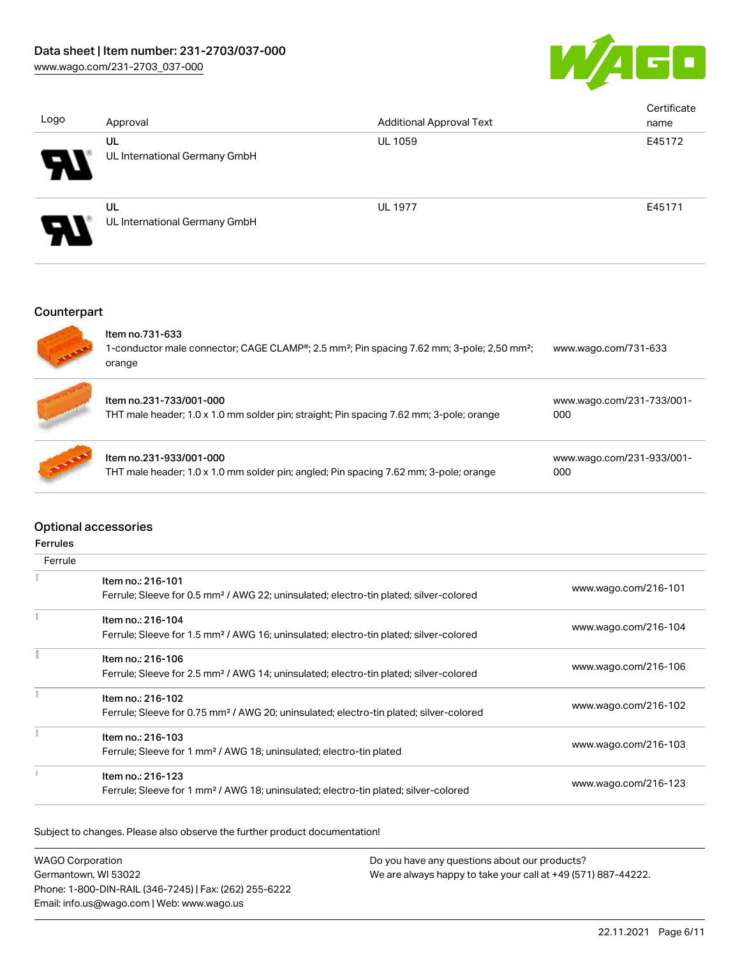

| Logo                       | Approval                            | <b>Additional Approval Text</b> | Certificate<br>name |
|----------------------------|-------------------------------------|---------------------------------|---------------------|
| $\boldsymbol{\mathcal{P}}$ | UL<br>UL International Germany GmbH | <b>UL 1059</b>                  | E45172              |
| Ъ                          | UL<br>UL International Germany GmbH | <b>UL 1977</b>                  | E45171              |

## Counterpart

|               | Item no.731-633<br>1-conductor male connector; CAGE CLAMP®; 2.5 mm <sup>2</sup> ; Pin spacing 7.62 mm; 3-pole; 2,50 mm <sup>2</sup> ;<br>orange | www.wago.com/731-633             |
|---------------|-------------------------------------------------------------------------------------------------------------------------------------------------|----------------------------------|
|               | Item no.231-733/001-000<br>THT male header; 1.0 x 1.0 mm solder pin; straight; Pin spacing 7.62 mm; 3-pole; orange                              | www.wago.com/231-733/001-<br>000 |
| <b>ANDREW</b> | Item no.231-933/001-000<br>THT male header; 1.0 x 1.0 mm solder pin; angled; Pin spacing 7.62 mm; 3-pole; orange                                | www.wago.com/231-933/001-<br>000 |

### Optional accessories

| errule |
|--------|
|--------|

| Ferrule |                                                                                                                         |                      |
|---------|-------------------------------------------------------------------------------------------------------------------------|----------------------|
|         | Item no.: 216-101<br>Ferrule; Sleeve for 0.5 mm <sup>2</sup> / AWG 22; uninsulated; electro-tin plated; silver-colored  | www.wago.com/216-101 |
|         | Item no.: 216-104<br>Ferrule; Sleeve for 1.5 mm <sup>2</sup> / AWG 16; uninsulated; electro-tin plated; silver-colored  | www.wago.com/216-104 |
|         | Item no.: 216-106<br>Ferrule; Sleeve for 2.5 mm <sup>2</sup> / AWG 14; uninsulated; electro-tin plated; silver-colored  | www.wago.com/216-106 |
|         | Item no.: 216-102<br>Ferrule; Sleeve for 0.75 mm <sup>2</sup> / AWG 20; uninsulated; electro-tin plated; silver-colored | www.wago.com/216-102 |
|         | Item no.: 216-103<br>Ferrule; Sleeve for 1 mm <sup>2</sup> / AWG 18; uninsulated; electro-tin plated                    | www.wago.com/216-103 |
|         | Item no.: 216-123<br>Ferrule; Sleeve for 1 mm <sup>2</sup> / AWG 18; uninsulated; electro-tin plated; silver-colored    | www.wago.com/216-123 |

Subject to changes. Please also observe the further product documentation!

| <b>WAGO Corporation</b>                                | Do you have any questions about our products?                 |
|--------------------------------------------------------|---------------------------------------------------------------|
| Germantown, WI 53022                                   | We are always happy to take your call at +49 (571) 887-44222. |
| Phone: 1-800-DIN-RAIL (346-7245)   Fax: (262) 255-6222 |                                                               |
| Email: info.us@wago.com   Web: www.wago.us             |                                                               |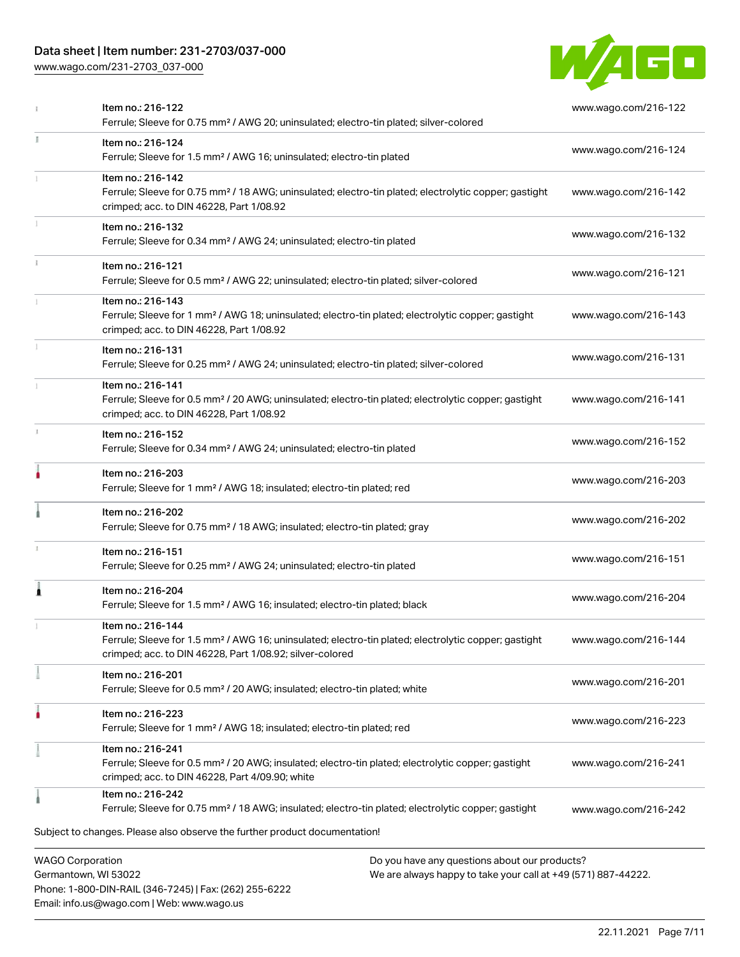## Data sheet | Item number: 231-2703/037-000

Phone: 1-800-DIN-RAIL (346-7245) | Fax: (262) 255-6222

Email: info.us@wago.com | Web: www.wago.us

[www.wago.com/231-2703\\_037-000](http://www.wago.com/231-2703_037-000)



|    | Item no.: 216-122<br>Ferrule; Sleeve for 0.75 mm <sup>2</sup> / AWG 20; uninsulated; electro-tin plated; silver-colored                                                                           |                                                                                                                | www.wago.com/216-122 |
|----|---------------------------------------------------------------------------------------------------------------------------------------------------------------------------------------------------|----------------------------------------------------------------------------------------------------------------|----------------------|
| I. | Item no.: 216-124<br>Ferrule; Sleeve for 1.5 mm <sup>2</sup> / AWG 16; uninsulated; electro-tin plated                                                                                            |                                                                                                                | www.wago.com/216-124 |
|    | Item no.: 216-142<br>Ferrule; Sleeve for 0.75 mm <sup>2</sup> / 18 AWG; uninsulated; electro-tin plated; electrolytic copper; gastight<br>crimped; acc. to DIN 46228, Part 1/08.92                |                                                                                                                | www.wago.com/216-142 |
|    | Item no.: 216-132<br>Ferrule; Sleeve for 0.34 mm <sup>2</sup> / AWG 24; uninsulated; electro-tin plated                                                                                           |                                                                                                                | www.wago.com/216-132 |
|    | Item no.: 216-121<br>Ferrule; Sleeve for 0.5 mm <sup>2</sup> / AWG 22; uninsulated; electro-tin plated; silver-colored                                                                            |                                                                                                                | www.wago.com/216-121 |
|    | Item no.: 216-143<br>Ferrule; Sleeve for 1 mm <sup>2</sup> / AWG 18; uninsulated; electro-tin plated; electrolytic copper; gastight<br>crimped; acc. to DIN 46228, Part 1/08.92                   |                                                                                                                | www.wago.com/216-143 |
|    | Item no.: 216-131<br>Ferrule; Sleeve for 0.25 mm <sup>2</sup> / AWG 24; uninsulated; electro-tin plated; silver-colored                                                                           |                                                                                                                | www.wago.com/216-131 |
|    | Item no.: 216-141<br>Ferrule; Sleeve for 0.5 mm <sup>2</sup> / 20 AWG; uninsulated; electro-tin plated; electrolytic copper; gastight<br>crimped; acc. to DIN 46228, Part 1/08.92                 |                                                                                                                | www.wago.com/216-141 |
|    | Item no.: 216-152<br>Ferrule; Sleeve for 0.34 mm <sup>2</sup> / AWG 24; uninsulated; electro-tin plated                                                                                           |                                                                                                                | www.wago.com/216-152 |
|    | Item no.: 216-203<br>Ferrule; Sleeve for 1 mm <sup>2</sup> / AWG 18; insulated; electro-tin plated; red                                                                                           |                                                                                                                | www.wago.com/216-203 |
|    | Item no.: 216-202<br>Ferrule; Sleeve for 0.75 mm <sup>2</sup> / 18 AWG; insulated; electro-tin plated; gray                                                                                       |                                                                                                                | www.wago.com/216-202 |
|    | Item no.: 216-151<br>Ferrule; Sleeve for 0.25 mm <sup>2</sup> / AWG 24; uninsulated; electro-tin plated                                                                                           |                                                                                                                | www.wago.com/216-151 |
| Â  | Item no.: 216-204<br>Ferrule; Sleeve for 1.5 mm <sup>2</sup> / AWG 16; insulated; electro-tin plated; black                                                                                       |                                                                                                                | www.wago.com/216-204 |
|    | Item no.: 216-144<br>Ferrule: Sleeve for 1.5 mm <sup>2</sup> / AWG 16: uninsulated: electro-tin plated: electrolytic copper: gastight<br>crimped; acc. to DIN 46228, Part 1/08.92; silver-colored |                                                                                                                | www.wago.com/216-144 |
|    | Item no.: 216-201<br>Ferrule; Sleeve for 0.5 mm <sup>2</sup> / 20 AWG; insulated; electro-tin plated; white                                                                                       |                                                                                                                | www.wago.com/216-201 |
|    | Item no.: 216-223<br>Ferrule; Sleeve for 1 mm <sup>2</sup> / AWG 18; insulated; electro-tin plated; red                                                                                           |                                                                                                                | www.wago.com/216-223 |
|    | Item no.: 216-241<br>Ferrule; Sleeve for 0.5 mm <sup>2</sup> / 20 AWG; insulated; electro-tin plated; electrolytic copper; gastight<br>crimped; acc. to DIN 46228, Part 4/09.90; white            |                                                                                                                | www.wago.com/216-241 |
|    | Item no.: 216-242<br>Ferrule; Sleeve for 0.75 mm <sup>2</sup> / 18 AWG; insulated; electro-tin plated; electrolytic copper; gastight                                                              |                                                                                                                | www.wago.com/216-242 |
|    | Subject to changes. Please also observe the further product documentation!                                                                                                                        |                                                                                                                |                      |
|    | <b>WAGO Corporation</b><br>Germantown, WI 53022                                                                                                                                                   | Do you have any questions about our products?<br>We are always happy to take your call at +49 (571) 887-44222. |                      |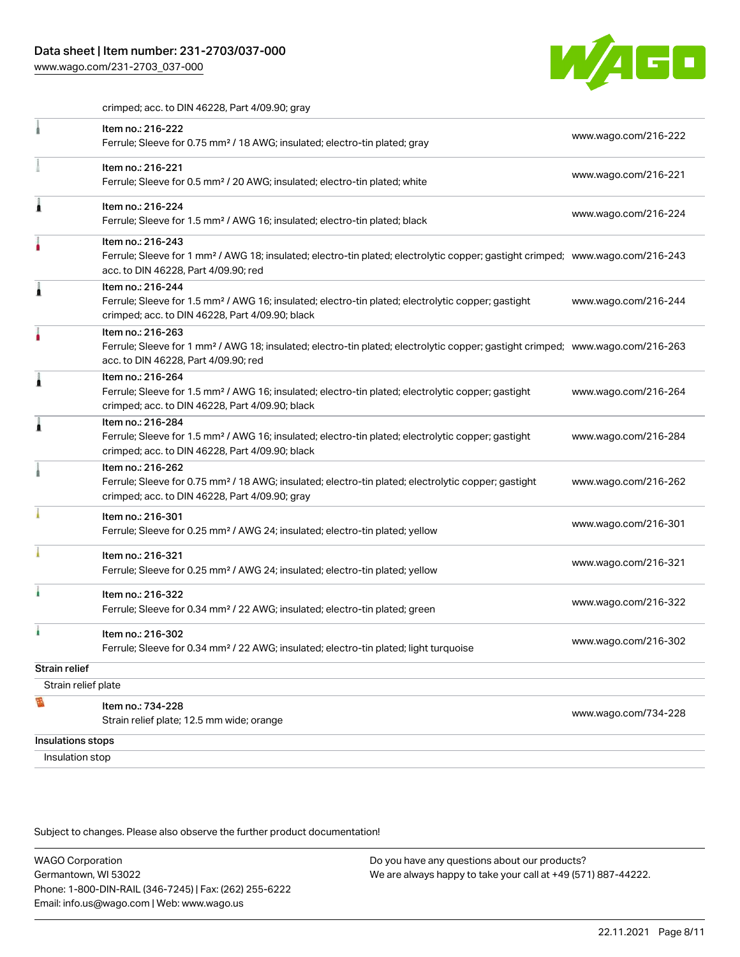[www.wago.com/231-2703\\_037-000](http://www.wago.com/231-2703_037-000)



crimped; acc. to DIN 46228, Part 4/09.90; gray

|                      | Item no.: 216-222<br>Ferrule; Sleeve for 0.75 mm <sup>2</sup> / 18 AWG; insulated; electro-tin plated; gray                                                                                             | www.wago.com/216-222 |
|----------------------|---------------------------------------------------------------------------------------------------------------------------------------------------------------------------------------------------------|----------------------|
|                      | Item no.: 216-221<br>Ferrule; Sleeve for 0.5 mm <sup>2</sup> / 20 AWG; insulated; electro-tin plated; white                                                                                             | www.wago.com/216-221 |
|                      | Item no.: 216-224<br>Ferrule; Sleeve for 1.5 mm <sup>2</sup> / AWG 16; insulated; electro-tin plated; black                                                                                             | www.wago.com/216-224 |
|                      | Item no.: 216-243<br>Ferrule; Sleeve for 1 mm <sup>2</sup> / AWG 18; insulated; electro-tin plated; electrolytic copper; gastight crimped; www.wago.com/216-243<br>acc. to DIN 46228, Part 4/09.90; red |                      |
|                      | Item no.: 216-244<br>Ferrule; Sleeve for 1.5 mm <sup>2</sup> / AWG 16; insulated; electro-tin plated; electrolytic copper; gastight<br>crimped; acc. to DIN 46228, Part 4/09.90; black                  | www.wago.com/216-244 |
|                      | Item no.: 216-263<br>Ferrule; Sleeve for 1 mm <sup>2</sup> / AWG 18; insulated; electro-tin plated; electrolytic copper; gastight crimped; www.wago.com/216-263<br>acc. to DIN 46228, Part 4/09.90; red |                      |
|                      | Item no.: 216-264<br>Ferrule; Sleeve for 1.5 mm <sup>2</sup> / AWG 16; insulated; electro-tin plated; electrolytic copper; gastight<br>crimped; acc. to DIN 46228, Part 4/09.90; black                  | www.wago.com/216-264 |
|                      | Item no.: 216-284<br>Ferrule; Sleeve for 1.5 mm <sup>2</sup> / AWG 16; insulated; electro-tin plated; electrolytic copper; gastight<br>crimped; acc. to DIN 46228, Part 4/09.90; black                  | www.wago.com/216-284 |
|                      | Item no.: 216-262<br>Ferrule; Sleeve for 0.75 mm <sup>2</sup> / 18 AWG; insulated; electro-tin plated; electrolytic copper; gastight<br>crimped; acc. to DIN 46228, Part 4/09.90; gray                  | www.wago.com/216-262 |
|                      | Item no.: 216-301<br>Ferrule; Sleeve for 0.25 mm <sup>2</sup> / AWG 24; insulated; electro-tin plated; yellow                                                                                           | www.wago.com/216-301 |
|                      | Item no.: 216-321<br>Ferrule; Sleeve for 0.25 mm <sup>2</sup> / AWG 24; insulated; electro-tin plated; yellow                                                                                           | www.wago.com/216-321 |
|                      | Item no.: 216-322<br>Ferrule; Sleeve for 0.34 mm <sup>2</sup> / 22 AWG; insulated; electro-tin plated; green                                                                                            | www.wago.com/216-322 |
|                      | Item no.: 216-302<br>Ferrule; Sleeve for 0.34 mm <sup>2</sup> / 22 AWG; insulated; electro-tin plated; light turquoise                                                                                  | www.wago.com/216-302 |
| <b>Strain relief</b> |                                                                                                                                                                                                         |                      |
| Strain relief plate  |                                                                                                                                                                                                         |                      |
| B                    | Item no.: 734-228<br>Strain relief plate; 12.5 mm wide; orange                                                                                                                                          | www.wago.com/734-228 |
| Insulations stops    |                                                                                                                                                                                                         |                      |
| Insulation stop      |                                                                                                                                                                                                         |                      |

Subject to changes. Please also observe the further product documentation!

WAGO Corporation Germantown, WI 53022 Phone: 1-800-DIN-RAIL (346-7245) | Fax: (262) 255-6222 Email: info.us@wago.com | Web: www.wago.us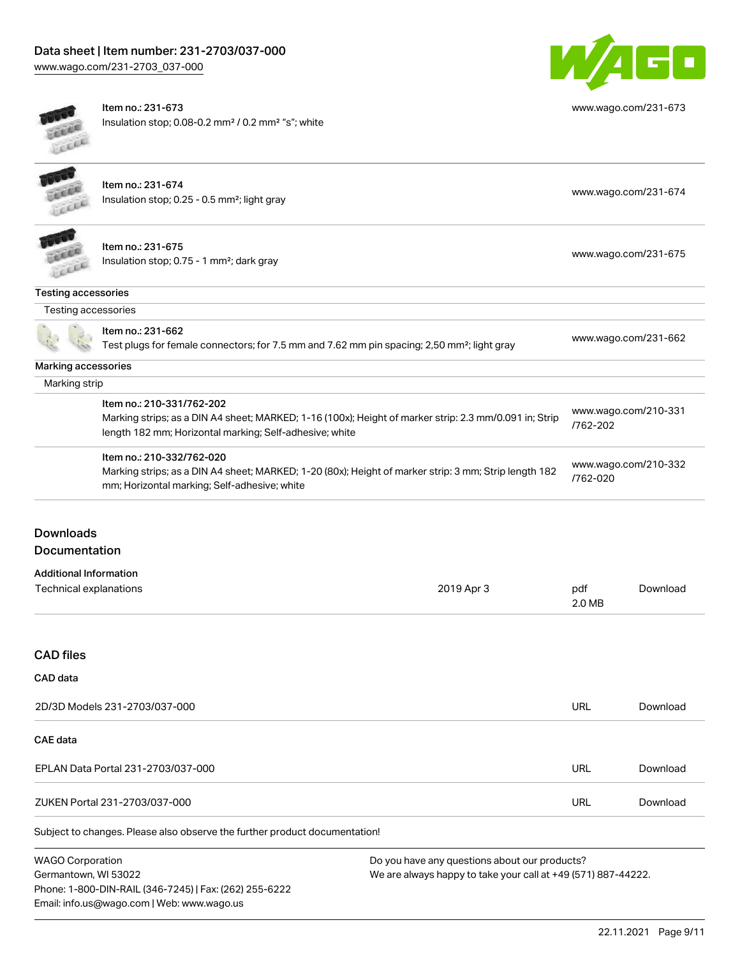Phone: 1-800-DIN-RAIL (346-7245) | Fax: (262) 255-6222

Email: info.us@wago.com | Web: www.wago.us



[www.wago.com/231-673](http://www.wago.com/231-673)

Item no.: 231-673 Insulation stop; 0.08-0.2 mm² / 0.2 mm² "s"; white

|                                    | Item no.: 231-674<br>Insulation stop; 0.25 - 0.5 mm <sup>2</sup> ; light gray                                                                                     |                                                               |                      | www.wago.com/231-674 |  |
|------------------------------------|-------------------------------------------------------------------------------------------------------------------------------------------------------------------|---------------------------------------------------------------|----------------------|----------------------|--|
|                                    |                                                                                                                                                                   |                                                               |                      |                      |  |
|                                    |                                                                                                                                                                   |                                                               |                      |                      |  |
|                                    | Item no.: 231-675                                                                                                                                                 |                                                               | www.wago.com/231-675 |                      |  |
|                                    | Insulation stop; 0.75 - 1 mm <sup>2</sup> ; dark gray                                                                                                             |                                                               |                      |                      |  |
| <b>Testing accessories</b>         |                                                                                                                                                                   |                                                               |                      |                      |  |
| Testing accessories                |                                                                                                                                                                   |                                                               |                      |                      |  |
|                                    | Item no.: 231-662                                                                                                                                                 |                                                               |                      |                      |  |
|                                    | Test plugs for female connectors; for 7.5 mm and 7.62 mm pin spacing; 2,50 mm <sup>2</sup> ; light gray                                                           |                                                               |                      | www.wago.com/231-662 |  |
| Marking accessories                |                                                                                                                                                                   |                                                               |                      |                      |  |
| Marking strip                      |                                                                                                                                                                   |                                                               |                      |                      |  |
|                                    | Item no.: 210-331/762-202                                                                                                                                         |                                                               | www.wago.com/210-331 |                      |  |
|                                    | Marking strips; as a DIN A4 sheet; MARKED; 1-16 (100x); Height of marker strip: 2.3 mm/0.091 in; Strip<br>length 182 mm; Horizontal marking; Self-adhesive; white |                                                               | /762-202             |                      |  |
|                                    | Item no.: 210-332/762-020                                                                                                                                         |                                                               |                      | www.wago.com/210-332 |  |
|                                    | Marking strips; as a DIN A4 sheet; MARKED; 1-20 (80x); Height of marker strip: 3 mm; Strip length 182<br>mm; Horizontal marking; Self-adhesive; white             |                                                               | /762-020             |                      |  |
| <b>Downloads</b>                   |                                                                                                                                                                   |                                                               |                      |                      |  |
| <b>Documentation</b>               |                                                                                                                                                                   |                                                               |                      |                      |  |
| <b>Additional Information</b>      |                                                                                                                                                                   |                                                               |                      |                      |  |
| Technical explanations             |                                                                                                                                                                   | 2019 Apr 3                                                    | pdf                  | Download             |  |
|                                    |                                                                                                                                                                   |                                                               | 2.0 MB               |                      |  |
| <b>CAD files</b>                   |                                                                                                                                                                   |                                                               |                      |                      |  |
| <b>CAD</b> data                    |                                                                                                                                                                   |                                                               |                      |                      |  |
| 2D/3D Models 231-2703/037-000      |                                                                                                                                                                   |                                                               | <b>URL</b>           | Download             |  |
| <b>CAE</b> data                    |                                                                                                                                                                   |                                                               |                      |                      |  |
| EPLAN Data Portal 231-2703/037-000 |                                                                                                                                                                   |                                                               | <b>URL</b>           | Download             |  |
| ZUKEN Portal 231-2703/037-000      |                                                                                                                                                                   |                                                               | <b>URL</b>           | Download             |  |
|                                    | Subject to changes. Please also observe the further product documentation!                                                                                        |                                                               |                      |                      |  |
| <b>WAGO Corporation</b>            |                                                                                                                                                                   | Do you have any questions about our products?                 |                      |                      |  |
| Germantown, WI 53022               |                                                                                                                                                                   | We are always happy to take your call at +49 (571) 887-44222. |                      |                      |  |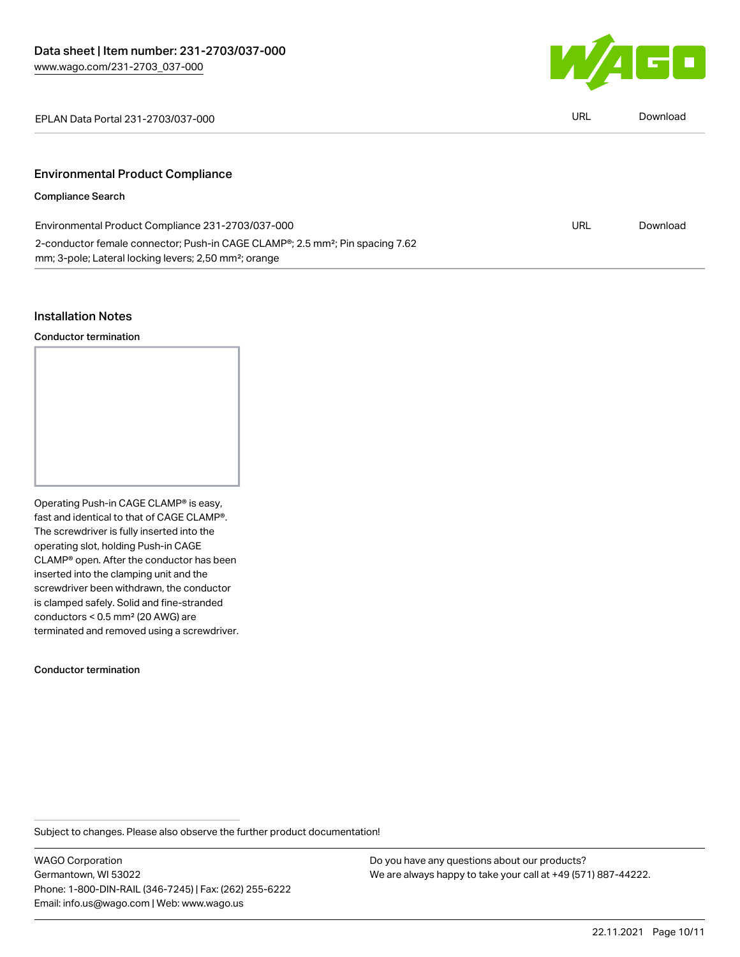

EPLAN Data Portal 231-2703/037-000 URL [Download](https://www.wago.com/global/d/EPLAN_URLS_231-2703_037-000)

# Environmental Product Compliance

#### Compliance Search

| Environmental Product Compliance 231-2703/037-000                                                      | URL | Download |
|--------------------------------------------------------------------------------------------------------|-----|----------|
| 2-conductor female connector; Push-in CAGE CLAMP <sup>®</sup> ; 2.5 mm <sup>2</sup> ; Pin spacing 7.62 |     |          |
| mm; 3-pole; Lateral locking levers; 2,50 mm <sup>2</sup> ; orange                                      |     |          |

#### Installation Notes

Conductor termination

Operating Push-in CAGE CLAMP® is easy, fast and identical to that of CAGE CLAMP®. The screwdriver is fully inserted into the operating slot, holding Push-in CAGE CLAMP® open. After the conductor has been inserted into the clamping unit and the screwdriver been withdrawn, the conductor is clamped safely. Solid and fine-stranded conductors < 0.5 mm² (20 AWG) are terminated and removed using a screwdriver.

Conductor termination

Subject to changes. Please also observe the further product documentation!

WAGO Corporation Germantown, WI 53022 Phone: 1-800-DIN-RAIL (346-7245) | Fax: (262) 255-6222 Email: info.us@wago.com | Web: www.wago.us